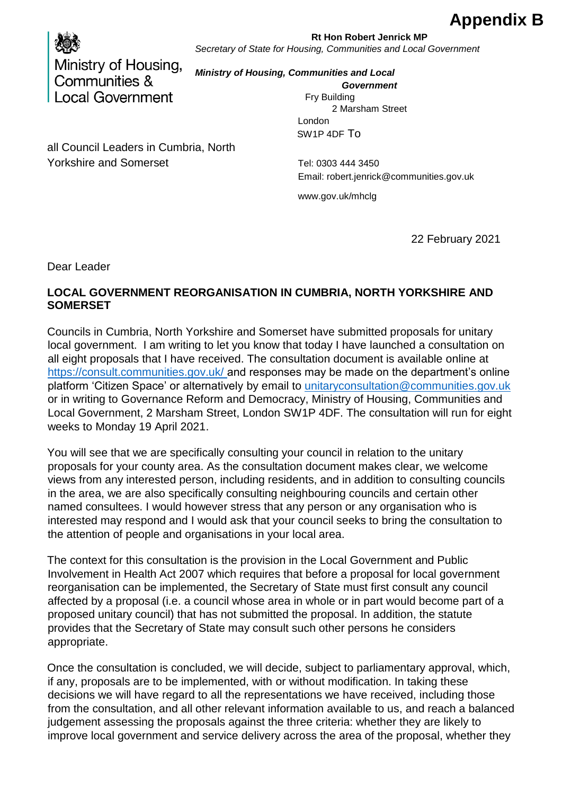## **Appendix B**



## **Rt Hon Robert Jenrick MP** *Secretary of State for Housing, Communities and Local Government*

*Ministry of Housing, Communities and Local Government*

> Fry Building 2 Marsham Street London SW1P 4DF To

all Council Leaders in Cumbria, North Yorkshire and Somerset Tel: 0303 444 3450

Email: robert.jenrick@communities.gov.uk

www.gov.uk/mhclg

22 February 2021

Dear Leader

## **LOCAL GOVERNMENT REORGANISATION IN CUMBRIA, NORTH YORKSHIRE AND SOMERSET**

Councils in Cumbria, North Yorkshire and Somerset have submitted proposals for unitary local government. I am writing to let you know that today I have launched a consultation on all eight proposals that I have received. The consultation document is available online at <https://consult.communities.gov.uk/> [a](https://consult.communities.gov.uk/)nd responses may be made on the department's online platform 'Citizen Space' or alternatively by email to unitaryconsultation@communities.gov.uk or in writing to Governance Reform and Democracy, Ministry of Housing, Communities and Local Government, 2 Marsham Street, London SW1P 4DF. The consultation will run for eight weeks to Monday 19 April 2021.

You will see that we are specifically consulting your council in relation to the unitary proposals for your county area. As the consultation document makes clear, we welcome views from any interested person, including residents, and in addition to consulting councils in the area, we are also specifically consulting neighbouring councils and certain other named consultees. I would however stress that any person or any organisation who is interested may respond and I would ask that your council seeks to bring the consultation to the attention of people and organisations in your local area.

The context for this consultation is the provision in the Local Government and Public Involvement in Health Act 2007 which requires that before a proposal for local government reorganisation can be implemented, the Secretary of State must first consult any council affected by a proposal (i.e. a council whose area in whole or in part would become part of a proposed unitary council) that has not submitted the proposal. In addition, the statute provides that the Secretary of State may consult such other persons he considers appropriate.

Once the consultation is concluded, we will decide, subject to parliamentary approval, which, if any, proposals are to be implemented, with or without modification. In taking these decisions we will have regard to all the representations we have received, including those from the consultation, and all other relevant information available to us, and reach a balanced judgement assessing the proposals against the three criteria: whether they are likely to improve local government and service delivery across the area of the proposal, whether they